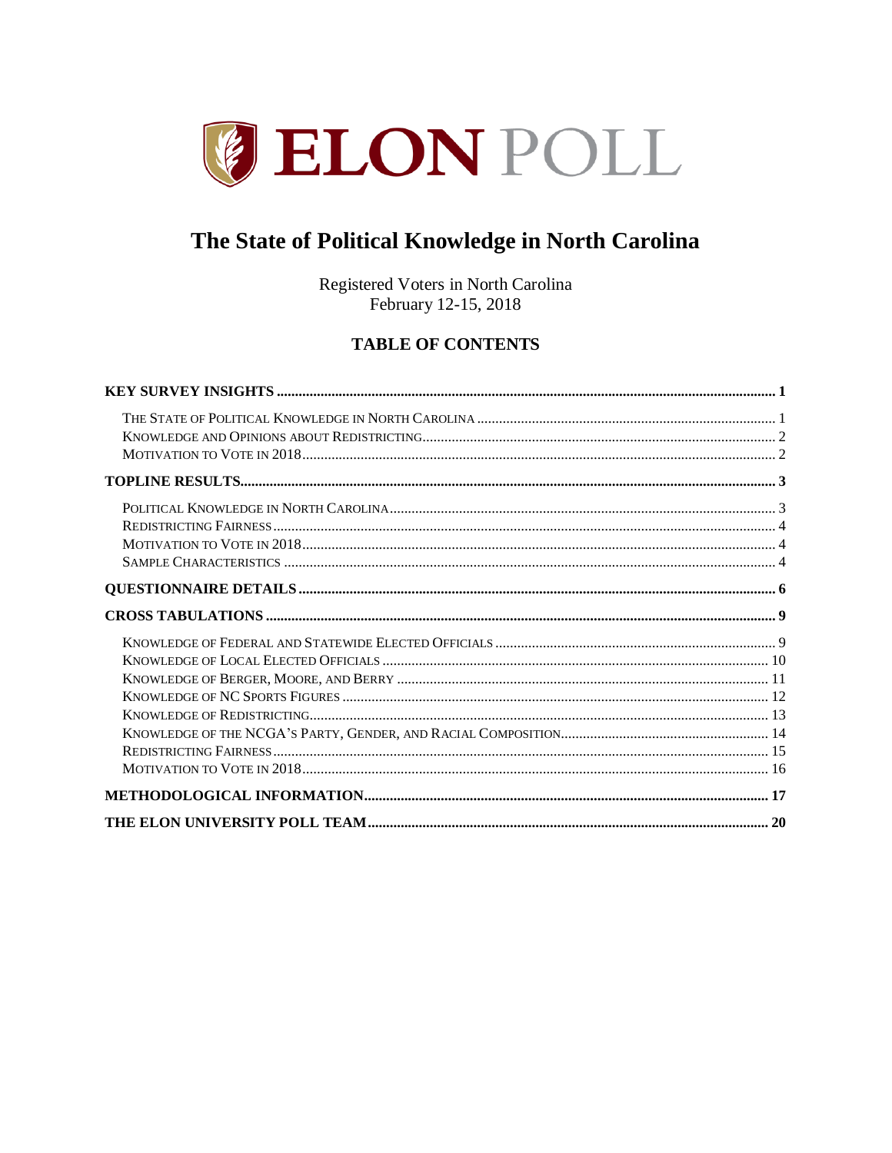

# The State of Political Knowledge in North Carolina

Registered Voters in North Carolina February 12-15, 2018

## **TABLE OF CONTENTS**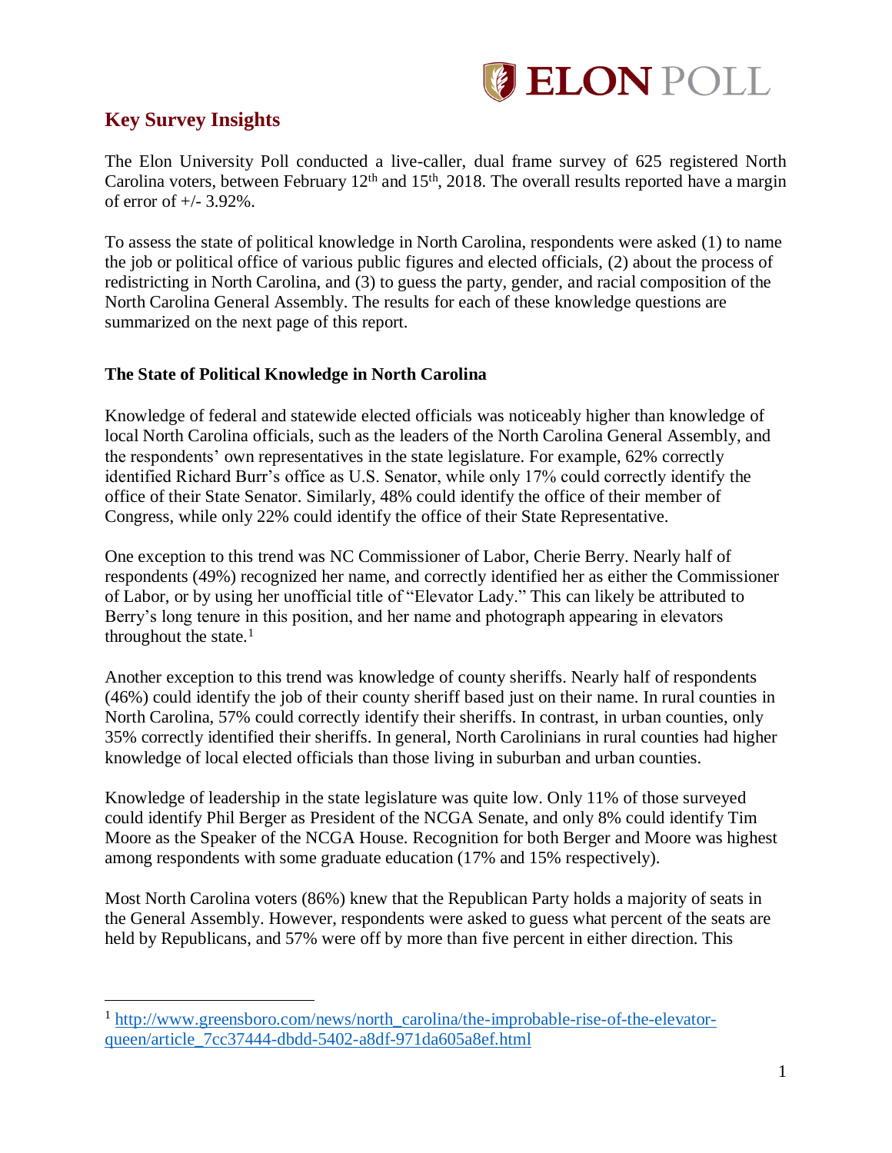

## <span id="page-1-0"></span>**Key Survey Insights**

 $\overline{a}$ 

The Elon University Poll conducted a live-caller, dual frame survey of 625 registered North Carolina voters, between February 12<sup>th</sup> and 15<sup>th</sup>, 2018. The overall results reported have a margin of error of +/- 3.92%.

To assess the state of political knowledge in North Carolina, respondents were asked (1) to name the job or political office of various public figures and elected officials, (2) about the process of redistricting in North Carolina, and (3) to guess the party, gender, and racial composition of the North Carolina General Assembly. The results for each of these knowledge questions are summarized on the next page of this report.

## <span id="page-1-1"></span>**The State of Political Knowledge in North Carolina**

Knowledge of federal and statewide elected officials was noticeably higher than knowledge of local North Carolina officials, such as the leaders of the North Carolina General Assembly, and the respondents' own representatives in the state legislature. For example, 62% correctly identified Richard Burr's office as U.S. Senator, while only 17% could correctly identify the office of their State Senator. Similarly, 48% could identify the office of their member of Congress, while only 22% could identify the office of their State Representative.

One exception to this trend was NC Commissioner of Labor, Cherie Berry. Nearly half of respondents (49%) recognized her name, and correctly identified her as either the Commissioner of Labor, or by using her unofficial title of "Elevator Lady." This can likely be attributed to Berry's long tenure in this position, and her name and photograph appearing in elevators throughout the state. $<sup>1</sup>$ </sup>

Another exception to this trend was knowledge of county sheriffs. Nearly half of respondents (46%) could identify the job of their county sheriff based just on their name. In rural counties in North Carolina, 57% could correctly identify their sheriffs. In contrast, in urban counties, only 35% correctly identified their sheriffs. In general, North Carolinians in rural counties had higher knowledge of local elected officials than those living in suburban and urban counties.

Knowledge of leadership in the state legislature was quite low. Only 11% of those surveyed could identify Phil Berger as President of the NCGA Senate, and only 8% could identify Tim Moore as the Speaker of the NCGA House. Recognition for both Berger and Moore was highest among respondents with some graduate education (17% and 15% respectively).

Most North Carolina voters (86%) knew that the Republican Party holds a majority of seats in the General Assembly. However, respondents were asked to guess what percent of the seats are held by Republicans, and 57% were off by more than five percent in either direction. This

<sup>1</sup> [http://www.greensboro.com/news/north\\_carolina/the-improbable-rise-of-the-elevator](http://www.greensboro.com/news/north_carolina/the-improbable-rise-of-the-elevator-queen/article_7cc37444-dbdd-5402-a8df-971da605a8ef.html)[queen/article\\_7cc37444-dbdd-5402-a8df-971da605a8ef.html](http://www.greensboro.com/news/north_carolina/the-improbable-rise-of-the-elevator-queen/article_7cc37444-dbdd-5402-a8df-971da605a8ef.html)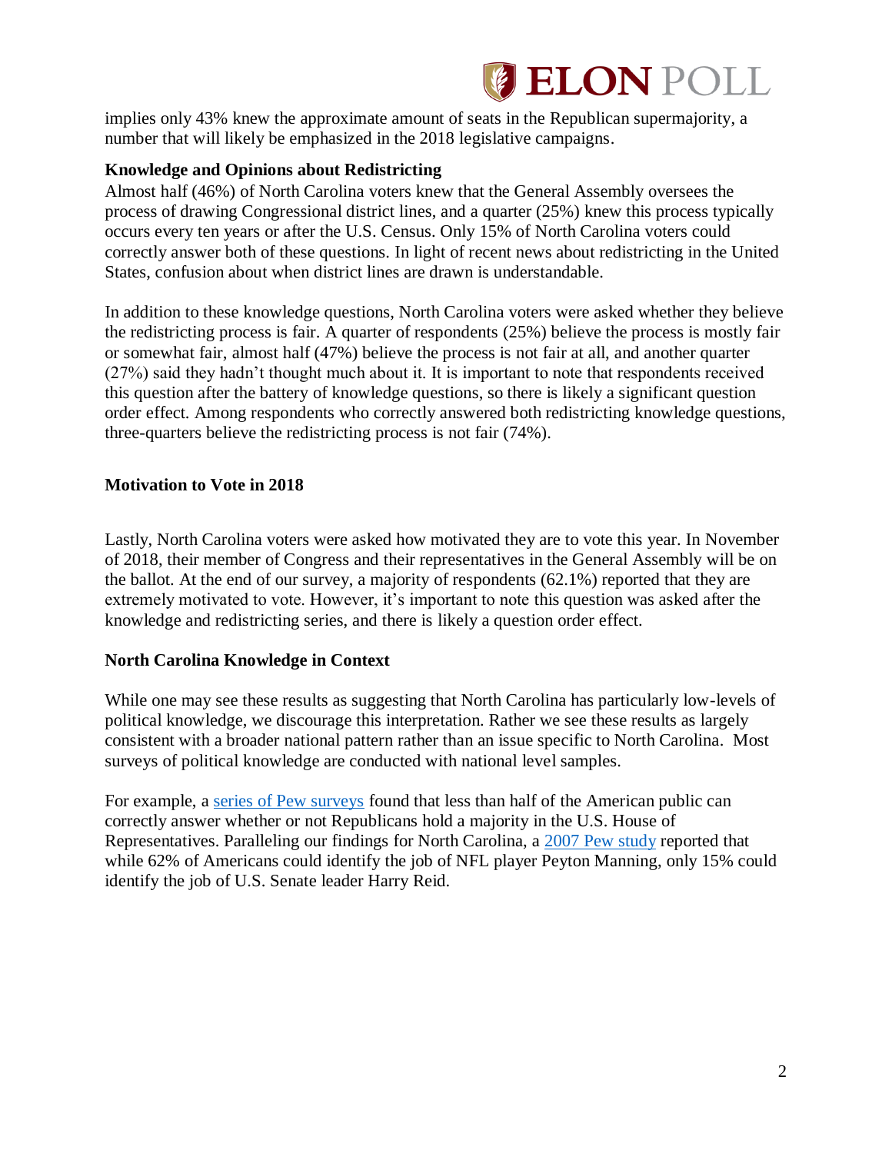# **ELON POLL**

implies only 43% knew the approximate amount of seats in the Republican supermajority, a number that will likely be emphasized in the 2018 legislative campaigns.

## <span id="page-2-0"></span>**Knowledge and Opinions about Redistricting**

Almost half (46%) of North Carolina voters knew that the General Assembly oversees the process of drawing Congressional district lines, and a quarter (25%) knew this process typically occurs every ten years or after the U.S. Census. Only 15% of North Carolina voters could correctly answer both of these questions. In light of recent news about redistricting in the United States, confusion about when district lines are drawn is understandable.

In addition to these knowledge questions, North Carolina voters were asked whether they believe the redistricting process is fair. A quarter of respondents (25%) believe the process is mostly fair or somewhat fair, almost half (47%) believe the process is not fair at all, and another quarter (27%) said they hadn't thought much about it. It is important to note that respondents received this question after the battery of knowledge questions, so there is likely a significant question order effect. Among respondents who correctly answered both redistricting knowledge questions, three-quarters believe the redistricting process is not fair (74%).

## <span id="page-2-1"></span>**Motivation to Vote in 2018**

Lastly, North Carolina voters were asked how motivated they are to vote this year. In November of 2018, their member of Congress and their representatives in the General Assembly will be on the ballot. At the end of our survey, a majority of respondents (62.1%) reported that they are extremely motivated to vote. However, it's important to note this question was asked after the knowledge and redistricting series, and there is likely a question order effect.

## **North Carolina Knowledge in Context**

While one may see these results as suggesting that North Carolina has particularly low-levels of political knowledge, we discourage this interpretation. Rather we see these results as largely consistent with a broader national pattern rather than an issue specific to North Carolina. Most surveys of political knowledge are conducted with national level samples.

For example, a [series of Pew surveys](http://assets.pewresearch.org/wp-content/uploads/sites/5/legacy-questionnaires/Oct11%20Knowledge%20Topline.pdf) found that less than half of the American public can correctly answer whether or not Republicans hold a majority in the U.S. House of Representatives. Paralleling our findings for North Carolina, a [2007 Pew study](http://www.people-press.org/2007/04/15/public-knowledge-of-current-affairs-little-changed-by-news-and-information-revolutions/) reported that while 62% of Americans could identify the job of NFL player Peyton Manning, only 15% could identify the job of U.S. Senate leader Harry Reid.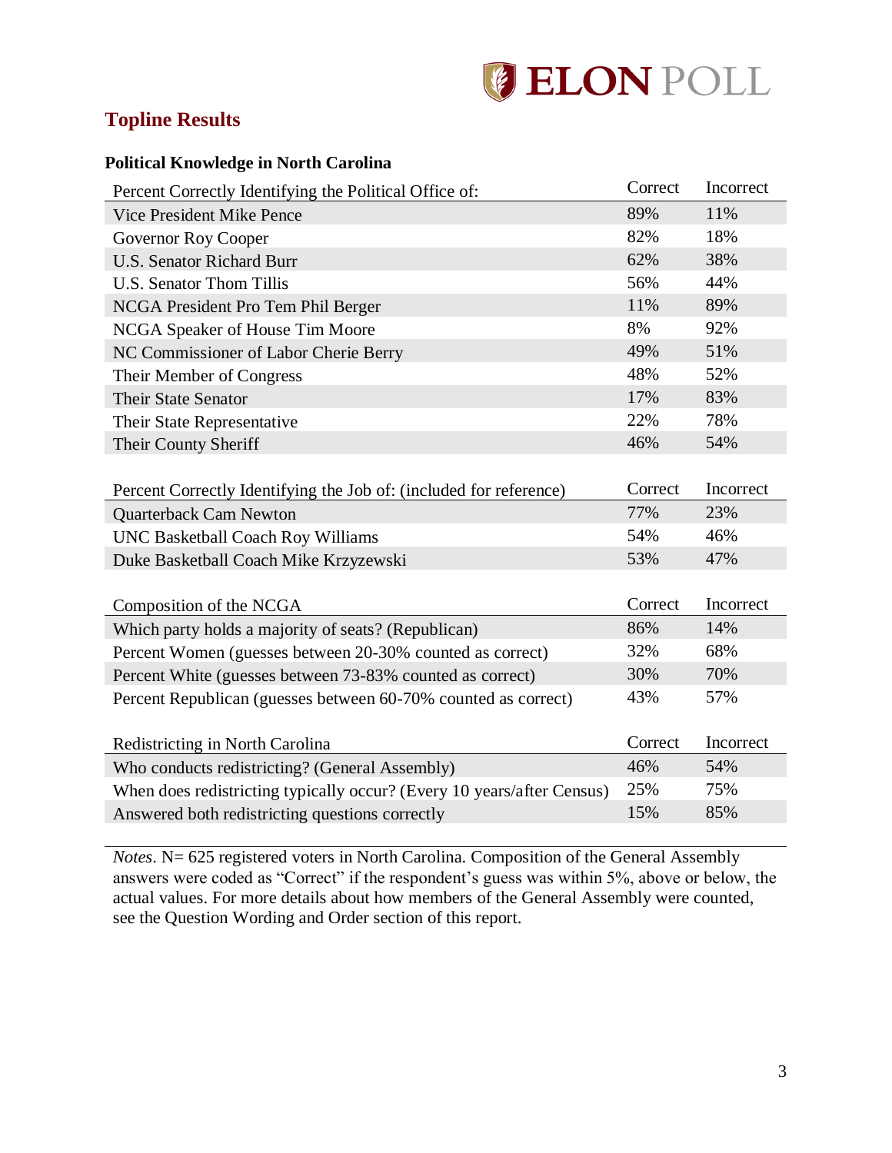# **ELON POLL**

# <span id="page-3-0"></span>**Topline Results**

## <span id="page-3-1"></span>**Political Knowledge in North Carolina**

| Percent Correctly Identifying the Political Office of:                 | Correct | Incorrect |
|------------------------------------------------------------------------|---------|-----------|
| <b>Vice President Mike Pence</b>                                       | 89%     | 11%       |
| <b>Governor Roy Cooper</b>                                             | 82%     | 18%       |
| <b>U.S. Senator Richard Burr</b>                                       | 62%     | 38%       |
| <b>U.S. Senator Thom Tillis</b>                                        | 56%     | 44%       |
| NCGA President Pro Tem Phil Berger                                     | 11%     | 89%       |
| NCGA Speaker of House Tim Moore                                        | 8%      | 92%       |
| NC Commissioner of Labor Cherie Berry                                  | 49%     | 51%       |
| Their Member of Congress                                               | 48%     | 52%       |
| <b>Their State Senator</b>                                             | 17%     | 83%       |
| Their State Representative                                             | 22%     | 78%       |
| Their County Sheriff                                                   | 46%     | 54%       |
|                                                                        |         |           |
| Percent Correctly Identifying the Job of: (included for reference)     | Correct | Incorrect |
| <b>Quarterback Cam Newton</b>                                          | 77%     | 23%       |
| <b>UNC Basketball Coach Roy Williams</b>                               | 54%     | 46%       |
| Duke Basketball Coach Mike Krzyzewski                                  | 53%     | 47%       |
|                                                                        |         |           |
| Composition of the NCGA                                                | Correct | Incorrect |
| Which party holds a majority of seats? (Republican)                    | 86%     | 14%       |
| Percent Women (guesses between 20-30% counted as correct)              | 32%     | 68%       |
| Percent White (guesses between 73-83% counted as correct)              | 30%     | 70%       |
| Percent Republican (guesses between 60-70% counted as correct)         | 43%     | 57%       |
|                                                                        |         |           |
| Redistricting in North Carolina                                        | Correct | Incorrect |
| Who conducts redistricting? (General Assembly)                         | 46%     | 54%       |
| When does redistricting typically occur? (Every 10 years/after Census) | 25%     | 75%       |
| Answered both redistricting questions correctly                        | 15%     | 85%       |
|                                                                        |         |           |

*Notes*. N= 625 registered voters in North Carolina. Composition of the General Assembly answers were coded as "Correct" if the respondent's guess was within 5%, above or below, the actual values. For more details about how members of the General Assembly were counted, see the Question Wording and Order section of this report.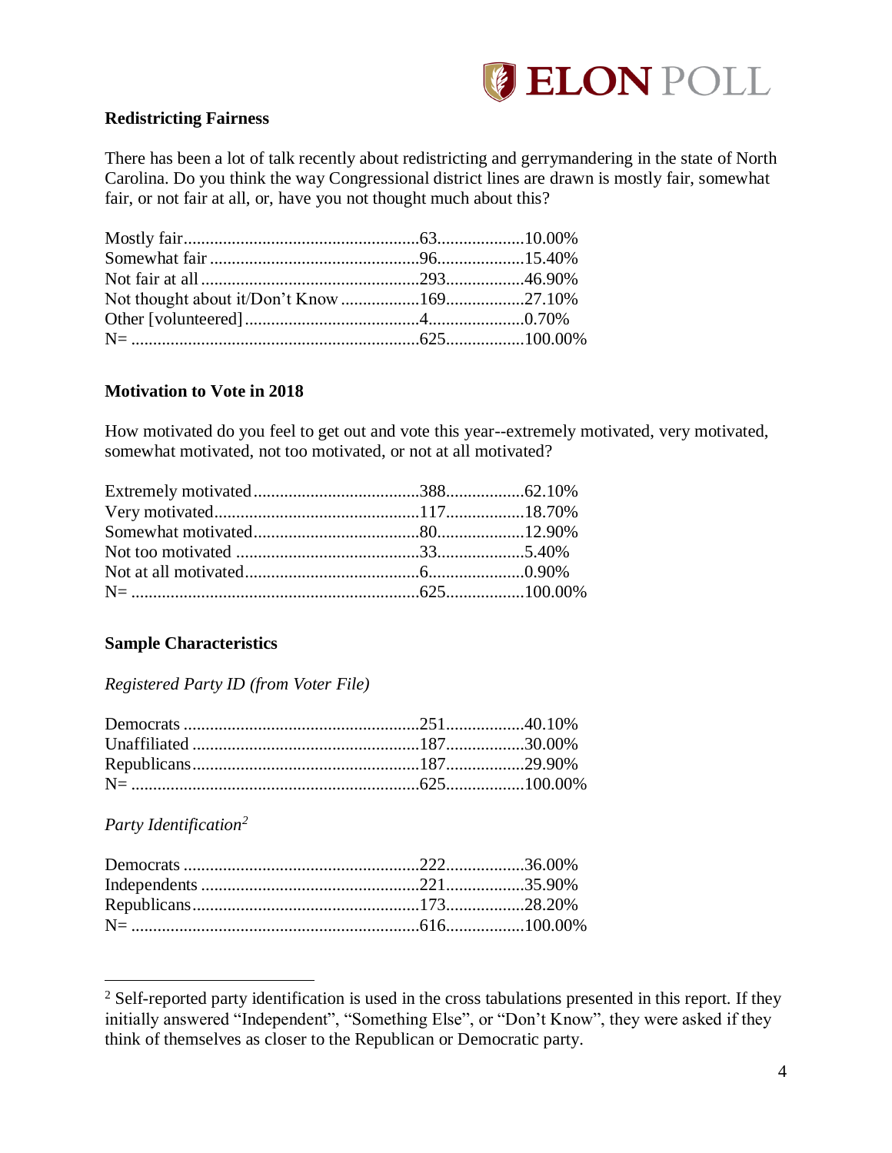

## <span id="page-4-0"></span>**Redistricting Fairness**

There has been a lot of talk recently about redistricting and gerrymandering in the state of North Carolina. Do you think the way Congressional district lines are drawn is mostly fair, somewhat fair, or not fair at all, or, have you not thought much about this?

## <span id="page-4-1"></span>**Motivation to Vote in 2018**

How motivated do you feel to get out and vote this year--extremely motivated, very motivated, somewhat motivated, not too motivated, or not at all motivated?

## <span id="page-4-2"></span>**Sample Characteristics**

### *Registered Party ID (from Voter File)*

### *Party Identification<sup>2</sup>*

 $\overline{a}$ 

 $2$  Self-reported party identification is used in the cross tabulations presented in this report. If they initially answered "Independent", "Something Else", or "Don't Know", they were asked if they think of themselves as closer to the Republican or Democratic party.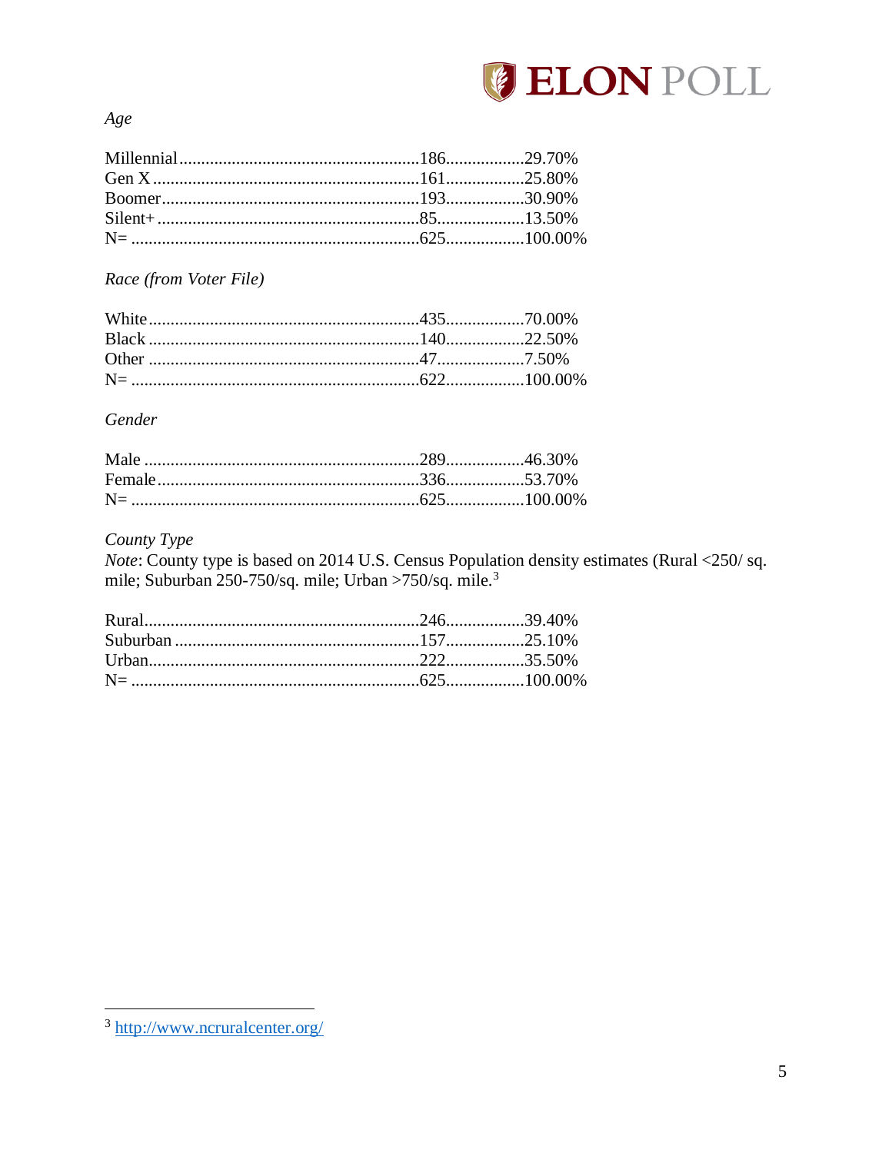

Age

Race (from Voter File)

## Gender

## County Type

Note: County type is based on 2014 U.S. Census Population density estimates (Rural <250/sq. mile; Suburban 250-750/sq. mile; Urban >750/sq. mile.<sup>3</sup>

<sup>&</sup>lt;sup>3</sup>http://www.ncruralcenter.org/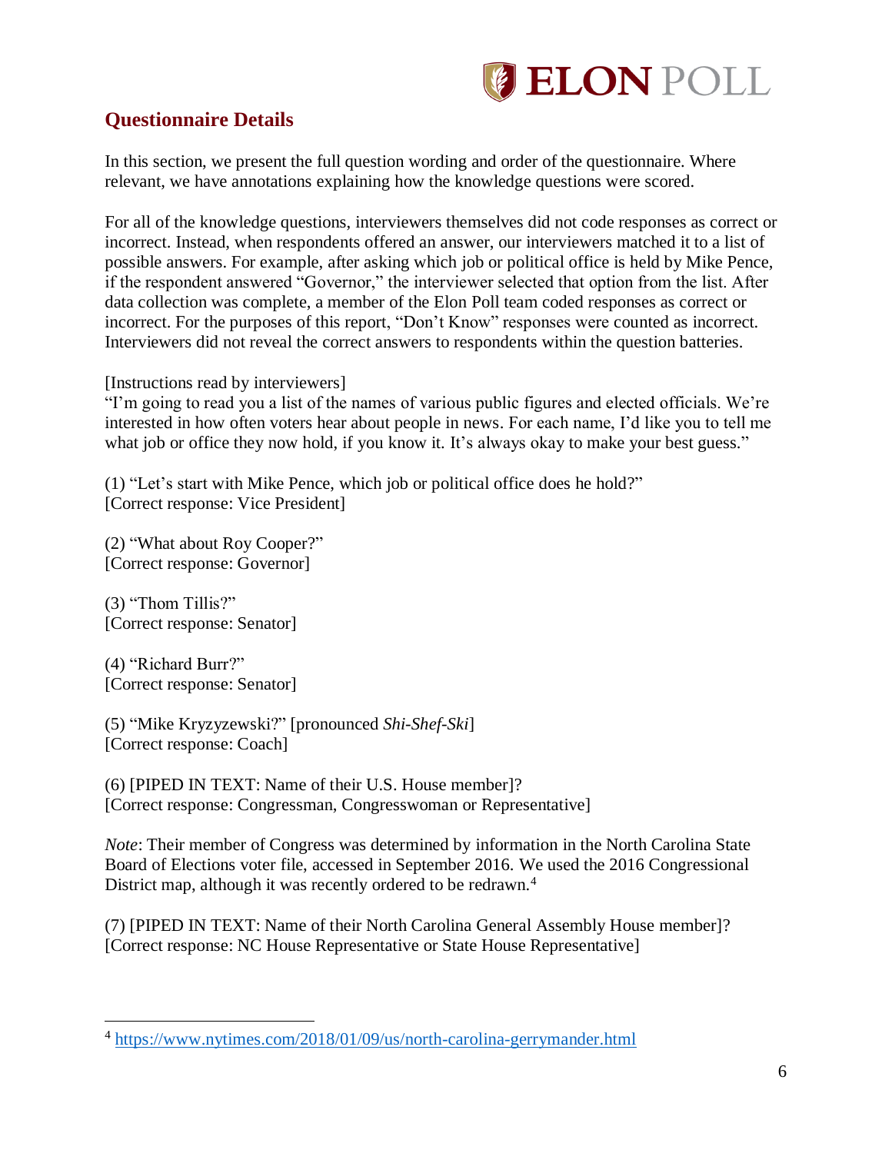

## <span id="page-6-0"></span>**Questionnaire Details**

In this section, we present the full question wording and order of the questionnaire. Where relevant, we have annotations explaining how the knowledge questions were scored.

For all of the knowledge questions, interviewers themselves did not code responses as correct or incorrect. Instead, when respondents offered an answer, our interviewers matched it to a list of possible answers. For example, after asking which job or political office is held by Mike Pence, if the respondent answered "Governor," the interviewer selected that option from the list. After data collection was complete, a member of the Elon Poll team coded responses as correct or incorrect. For the purposes of this report, "Don't Know" responses were counted as incorrect. Interviewers did not reveal the correct answers to respondents within the question batteries.

[Instructions read by interviewers]

"I'm going to read you a list of the names of various public figures and elected officials. We're interested in how often voters hear about people in news. For each name, I'd like you to tell me what job or office they now hold, if you know it. It's always okay to make your best guess."

(1) "Let's start with Mike Pence, which job or political office does he hold?" [Correct response: Vice President]

(2) "What about Roy Cooper?" [Correct response: Governor]

(3) "Thom Tillis?" [Correct response: Senator]

(4) "Richard Burr?" [Correct response: Senator]

 $\overline{a}$ 

(5) "Mike Kryzyzewski?" [pronounced *Shi-Shef-Ski*] [Correct response: Coach]

(6) [PIPED IN TEXT: Name of their U.S. House member]? [Correct response: Congressman, Congresswoman or Representative]

*Note*: Their member of Congress was determined by information in the North Carolina State Board of Elections voter file, accessed in September 2016. We used the 2016 Congressional District map, although it was recently ordered to be redrawn.<sup>4</sup>

(7) [PIPED IN TEXT: Name of their North Carolina General Assembly House member]? [Correct response: NC House Representative or State House Representative]

<sup>&</sup>lt;sup>4</sup> <https://www.nytimes.com/2018/01/09/us/north-carolina-gerrymander.html>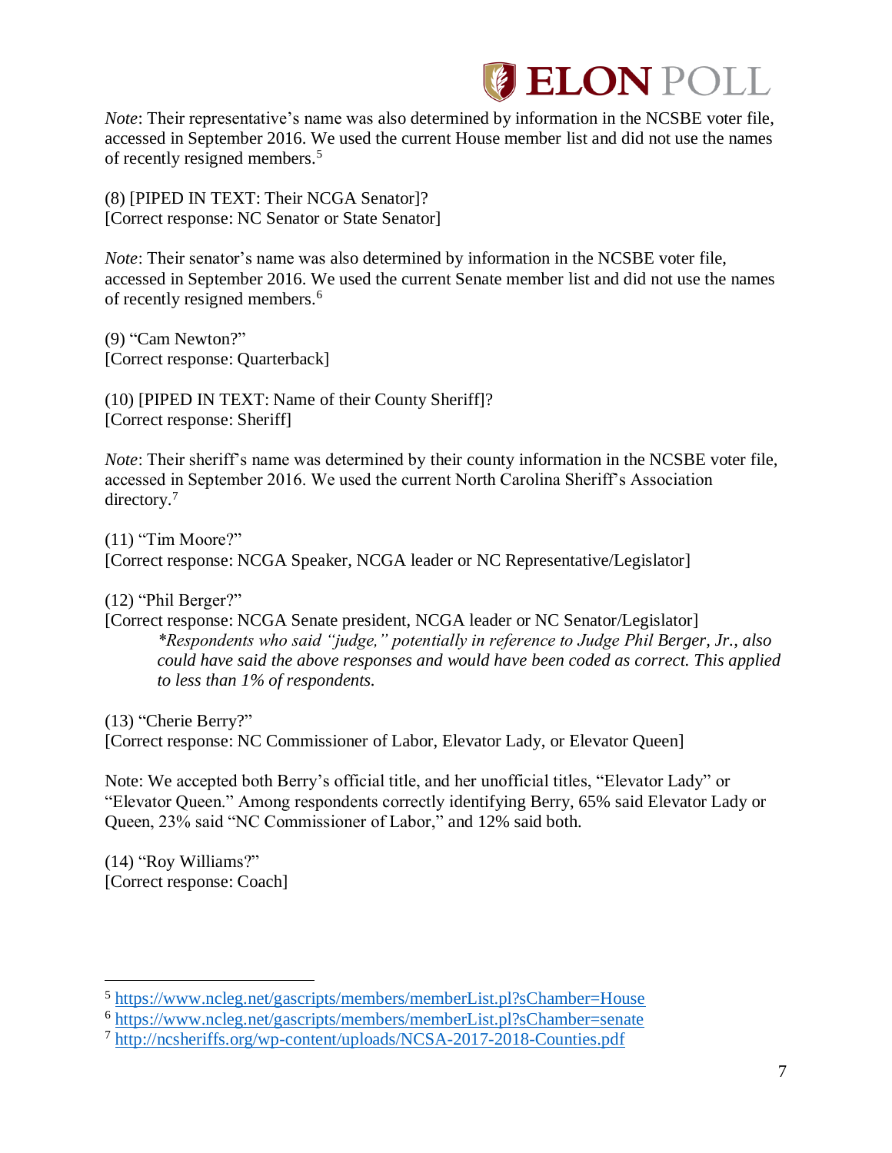

*Note*: Their representative's name was also determined by information in the NCSBE voter file, accessed in September 2016. We used the current House member list and did not use the names of recently resigned members.<sup>5</sup>

(8) [PIPED IN TEXT: Their NCGA Senator]? [Correct response: NC Senator or State Senator]

*Note*: Their senator's name was also determined by information in the NCSBE voter file, accessed in September 2016. We used the current Senate member list and did not use the names of recently resigned members.<sup>6</sup>

(9) "Cam Newton?" [Correct response: Quarterback]

(10) [PIPED IN TEXT: Name of their County Sheriff]? [Correct response: Sheriff]

*Note*: Their sheriff's name was determined by their county information in the NCSBE voter file, accessed in September 2016. We used the current North Carolina Sheriff's Association directory.<sup>7</sup>

(11) "Tim Moore?" [Correct response: NCGA Speaker, NCGA leader or NC Representative/Legislator]

(12) "Phil Berger?"

[Correct response: NCGA Senate president, NCGA leader or NC Senator/Legislator] *\*Respondents who said "judge," potentially in reference to Judge Phil Berger, Jr., also could have said the above responses and would have been coded as correct. This applied to less than 1% of respondents.*

(13) "Cherie Berry?" [Correct response: NC Commissioner of Labor, Elevator Lady, or Elevator Queen]

Note: We accepted both Berry's official title, and her unofficial titles, "Elevator Lady" or "Elevator Queen." Among respondents correctly identifying Berry, 65% said Elevator Lady or Queen, 23% said "NC Commissioner of Labor," and 12% said both.

(14) "Roy Williams?" [Correct response: Coach]

 $\overline{a}$ 

<sup>&</sup>lt;sup>5</sup> <https://www.ncleg.net/gascripts/members/memberList.pl?sChamber=House>

<sup>6</sup> <https://www.ncleg.net/gascripts/members/memberList.pl?sChamber=senate>

<sup>7</sup> <http://ncsheriffs.org/wp-content/uploads/NCSA-2017-2018-Counties.pdf>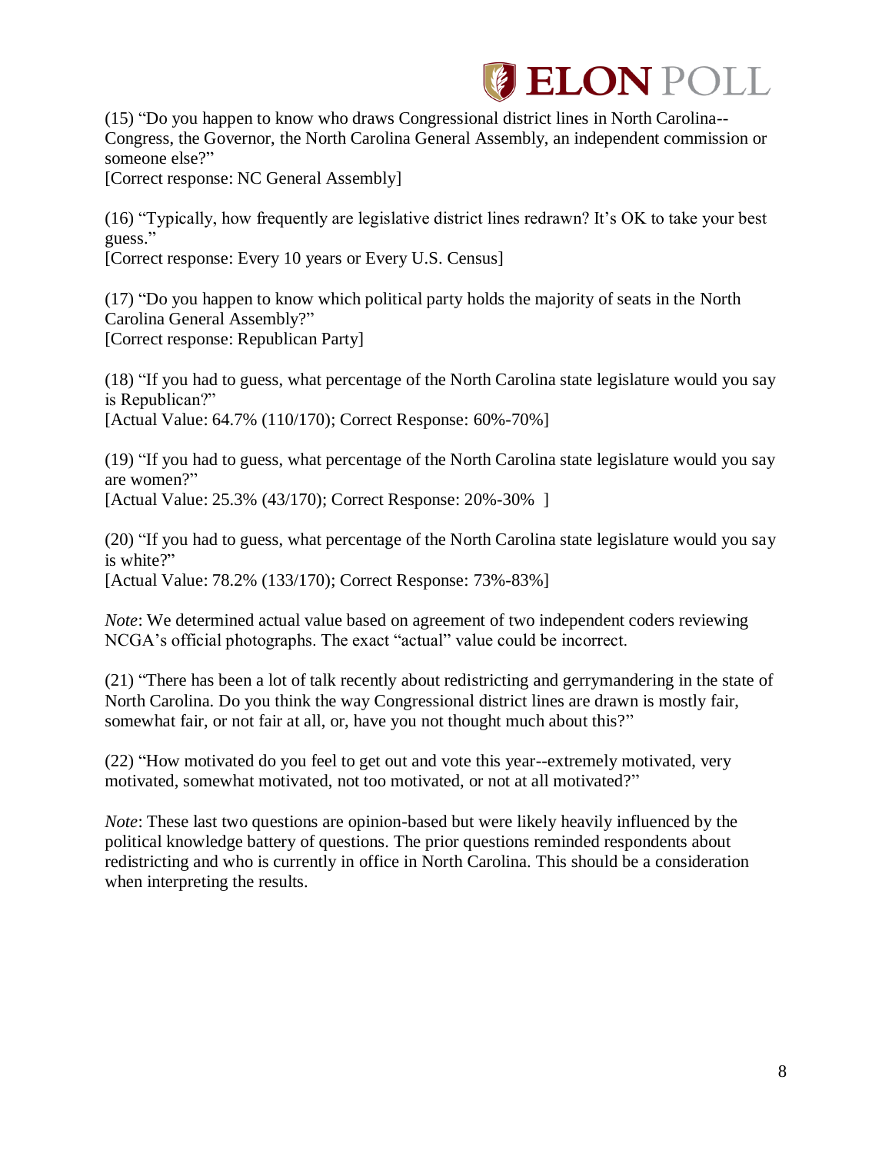# **ELON POLL**

(15) "Do you happen to know who draws Congressional district lines in North Carolina-- Congress, the Governor, the North Carolina General Assembly, an independent commission or someone else?"

[Correct response: NC General Assembly]

(16) "Typically, how frequently are legislative district lines redrawn? It's OK to take your best guess."

[Correct response: Every 10 years or Every U.S. Census]

(17) "Do you happen to know which political party holds the majority of seats in the North Carolina General Assembly?" [Correct response: Republican Party]

(18) "If you had to guess, what percentage of the North Carolina state legislature would you say is Republican?" [Actual Value: 64.7% (110/170); Correct Response: 60%-70%]

(19) "If you had to guess, what percentage of the North Carolina state legislature would you say are women?" [Actual Value: 25.3% (43/170); Correct Response: 20%-30% ]

(20) "If you had to guess, what percentage of the North Carolina state legislature would you say is white?" [Actual Value: 78.2% (133/170); Correct Response: 73%-83%]

*Note*: We determined actual value based on agreement of two independent coders reviewing NCGA's official photographs. The exact "actual" value could be incorrect.

(21) "There has been a lot of talk recently about redistricting and gerrymandering in the state of North Carolina. Do you think the way Congressional district lines are drawn is mostly fair, somewhat fair, or not fair at all, or, have you not thought much about this?"

(22) "How motivated do you feel to get out and vote this year--extremely motivated, very motivated, somewhat motivated, not too motivated, or not at all motivated?"

*Note*: These last two questions are opinion-based but were likely heavily influenced by the political knowledge battery of questions. The prior questions reminded respondents about redistricting and who is currently in office in North Carolina. This should be a consideration when interpreting the results.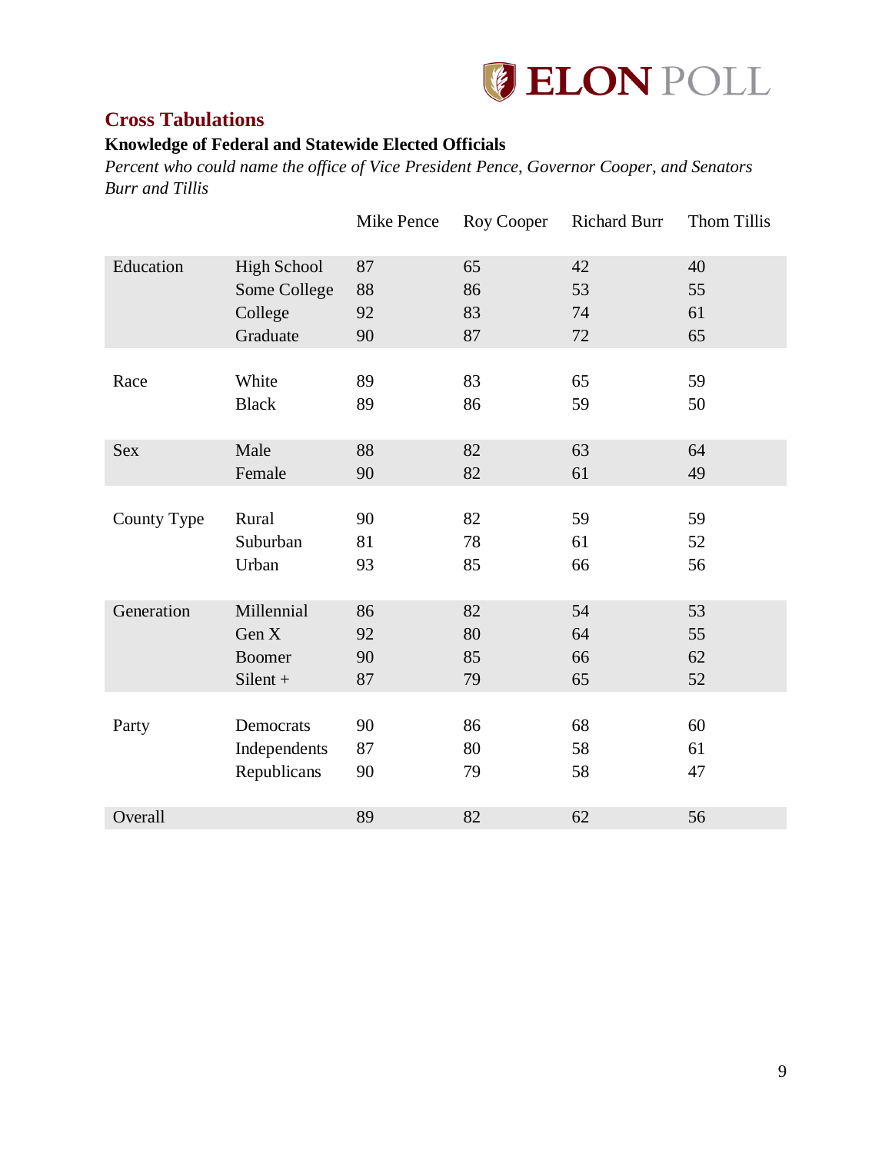

## <span id="page-9-0"></span>**Cross Tabulations**

# <span id="page-9-1"></span>**Knowledge of Federal and Statewide Elected Officials**

*Percent who could name the office of Vice President Pence, Governor Cooper, and Senators Burr and Tillis*

|             |                    | Mike Pence | Roy Cooper | <b>Richard Burr</b> | Thom Tillis |
|-------------|--------------------|------------|------------|---------------------|-------------|
| Education   | <b>High School</b> | 87         | 65         | 42                  | 40          |
|             | Some College       | 88         | 86         | 53                  | 55          |
|             | College            | 92         | 83         | 74                  | 61          |
|             | Graduate           | 90         | 87         | 72                  | 65          |
|             |                    |            |            |                     |             |
| Race        | White              | 89         | 83         | 65                  | 59          |
|             | <b>Black</b>       | 89         | 86         | 59                  | 50          |
| <b>Sex</b>  | Male               | 88         | 82         | 63                  | 64          |
|             |                    |            |            |                     |             |
|             | Female             | 90         | 82         | 61                  | 49          |
| County Type | Rural              | 90         | 82         | 59                  | 59          |
|             | Suburban           | 81         | 78         | 61                  | 52          |
|             | Urban              | 93         | 85         | 66                  | 56          |
|             |                    |            |            |                     |             |
| Generation  | Millennial         | 86         | 82         | 54                  | 53          |
|             | Gen X              | 92         | 80         | 64                  | 55          |
|             | Boomer             | 90         | 85         | 66                  | 62          |
|             | $Silent +$         | 87         | 79         | 65                  | 52          |
|             |                    |            |            |                     |             |
| Party       | Democrats          | 90         | 86         | 68                  | 60          |
|             | Independents       | 87         | 80         | 58                  | 61          |
|             | Republicans        | 90         | 79         | 58                  | 47          |
|             |                    |            |            |                     |             |
| Overall     |                    | 89         | 82         | 62                  | 56          |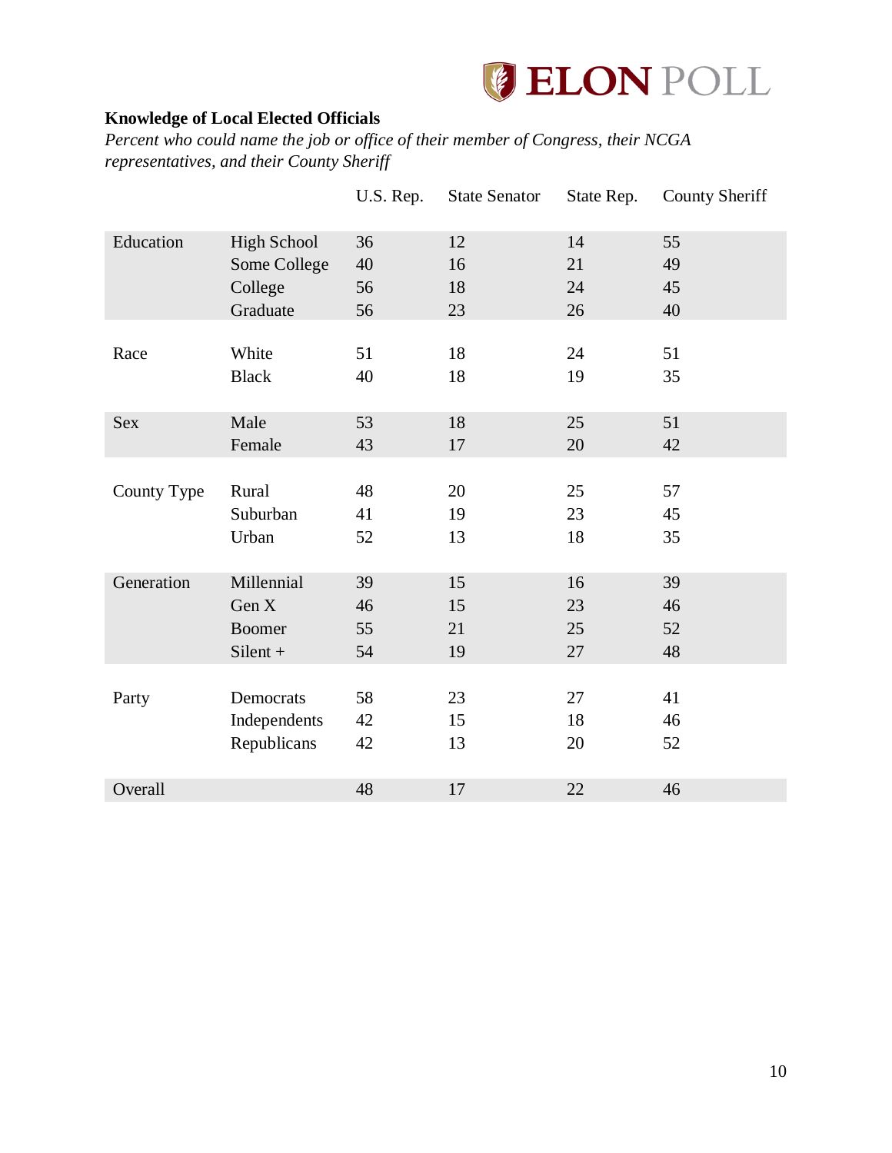

## <span id="page-10-0"></span>**Knowledge of Local Elected Officials**

*Percent who could name the job or office of their member of Congress, their NCGA representatives, and their County Sheriff*

|             |                    | U.S. Rep. | <b>State Senator</b> | State Rep. | <b>County Sheriff</b> |
|-------------|--------------------|-----------|----------------------|------------|-----------------------|
| Education   | <b>High School</b> | 36        | 12                   | 14         | 55                    |
|             | Some College       | 40        | 16                   | 21         | 49                    |
|             | College            | 56        | 18                   | 24         | 45                    |
|             | Graduate           | 56        | 23                   | 26         | 40                    |
|             |                    |           |                      |            |                       |
| Race        | White              | 51        | 18                   | 24         | 51                    |
|             | <b>Black</b>       | 40        | 18                   | 19         | 35                    |
| <b>Sex</b>  | Male               | 53        | 18                   | 25         | 51                    |
|             | Female             | 43        | 17                   | 20         | 42                    |
|             |                    |           |                      |            |                       |
| County Type | Rural              | 48        | 20                   | 25         | 57                    |
|             | Suburban           | 41        | 19                   | 23         | 45                    |
|             | Urban              | 52        | 13                   | 18         | 35                    |
|             |                    |           |                      |            |                       |
| Generation  | Millennial         | 39        | 15                   | 16         | 39                    |
|             | Gen X              | 46        | 15                   | 23         | 46                    |
|             | <b>Boomer</b>      | 55        | 21                   | 25         | 52                    |
|             | $Silent +$         | 54        | 19                   | 27         | 48                    |
|             |                    |           |                      |            |                       |
| Party       | Democrats          | 58        | 23                   | 27         | 41                    |
|             | Independents       | 42        | 15                   | 18         | 46                    |
|             | Republicans        | 42        | 13                   | 20         | 52                    |
| Overall     |                    | 48        | 17                   | 22         | 46                    |
|             |                    |           |                      |            |                       |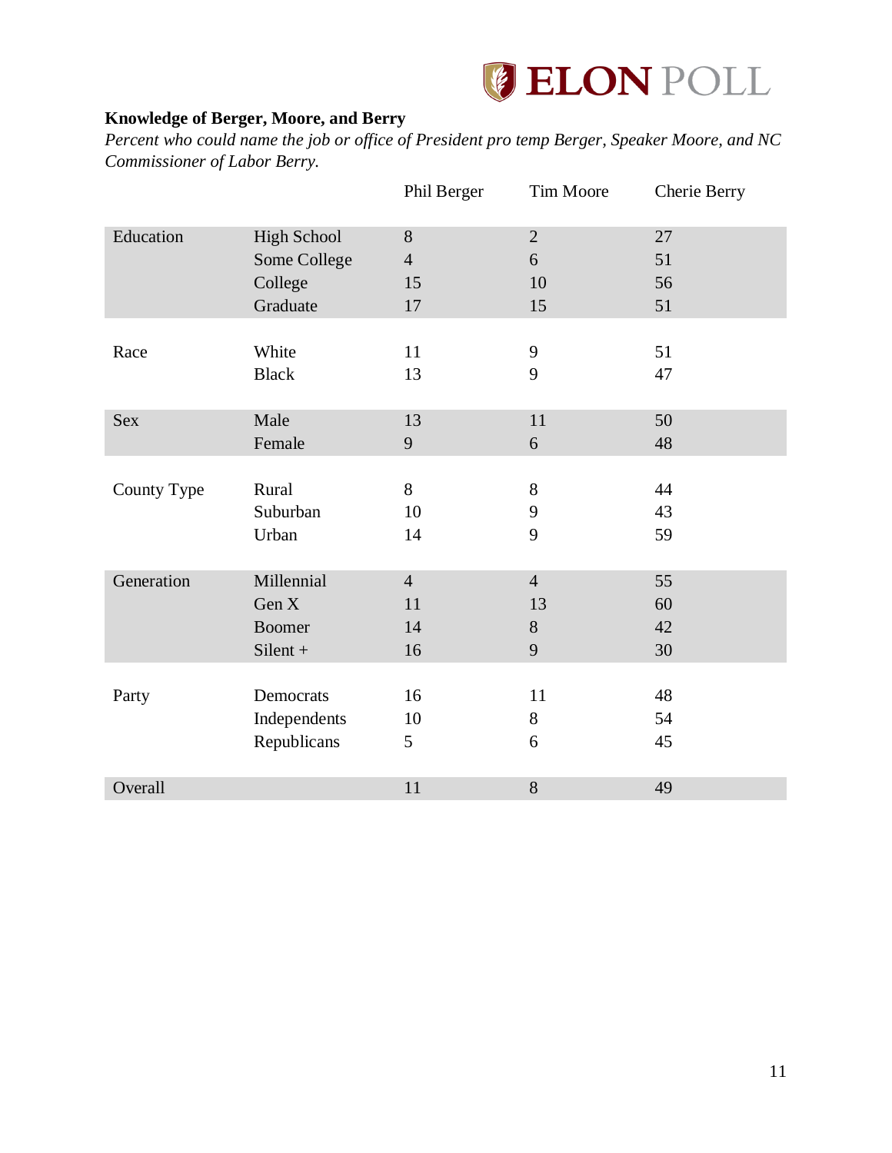

## <span id="page-11-0"></span>**Knowledge of Berger, Moore, and Berry**

*Percent who could name the job or office of President pro temp Berger, Speaker Moore, and NC Commissioner of Labor Berry.*

|             |                    | Phil Berger    | Tim Moore      | Cherie Berry |
|-------------|--------------------|----------------|----------------|--------------|
| Education   | <b>High School</b> | 8              | $\overline{2}$ | 27           |
|             | Some College       | $\overline{4}$ | 6              | 51           |
|             | College            | 15             | 10             | 56           |
|             | Graduate           | 17             | 15             | 51           |
|             |                    |                |                |              |
| Race        | White              | 11             | 9              | 51           |
|             | <b>Black</b>       | 13             | 9              | 47           |
|             |                    |                |                |              |
| <b>Sex</b>  | Male               | 13             | 11             | 50           |
|             | Female             | 9              | 6              | 48           |
|             |                    |                |                |              |
| County Type | Rural              | 8              | 8              | 44           |
|             | Suburban           | 10             | 9              | 43           |
|             | Urban              | 14             | 9              | 59           |
|             |                    |                |                |              |
| Generation  | Millennial         | $\overline{4}$ | $\overline{4}$ | 55           |
|             | Gen X              | 11             | 13             | 60           |
|             | <b>Boomer</b>      | 14             | $8\,$          | 42           |
|             | $Silent +$         | 16             | 9              | 30           |
|             |                    |                |                |              |
| Party       | Democrats          | 16             | 11             | 48           |
|             | Independents       | 10             | 8              | 54           |
|             | Republicans        | 5              | 6              | 45           |
|             |                    |                |                |              |
| Overall     |                    | 11             | 8              | 49           |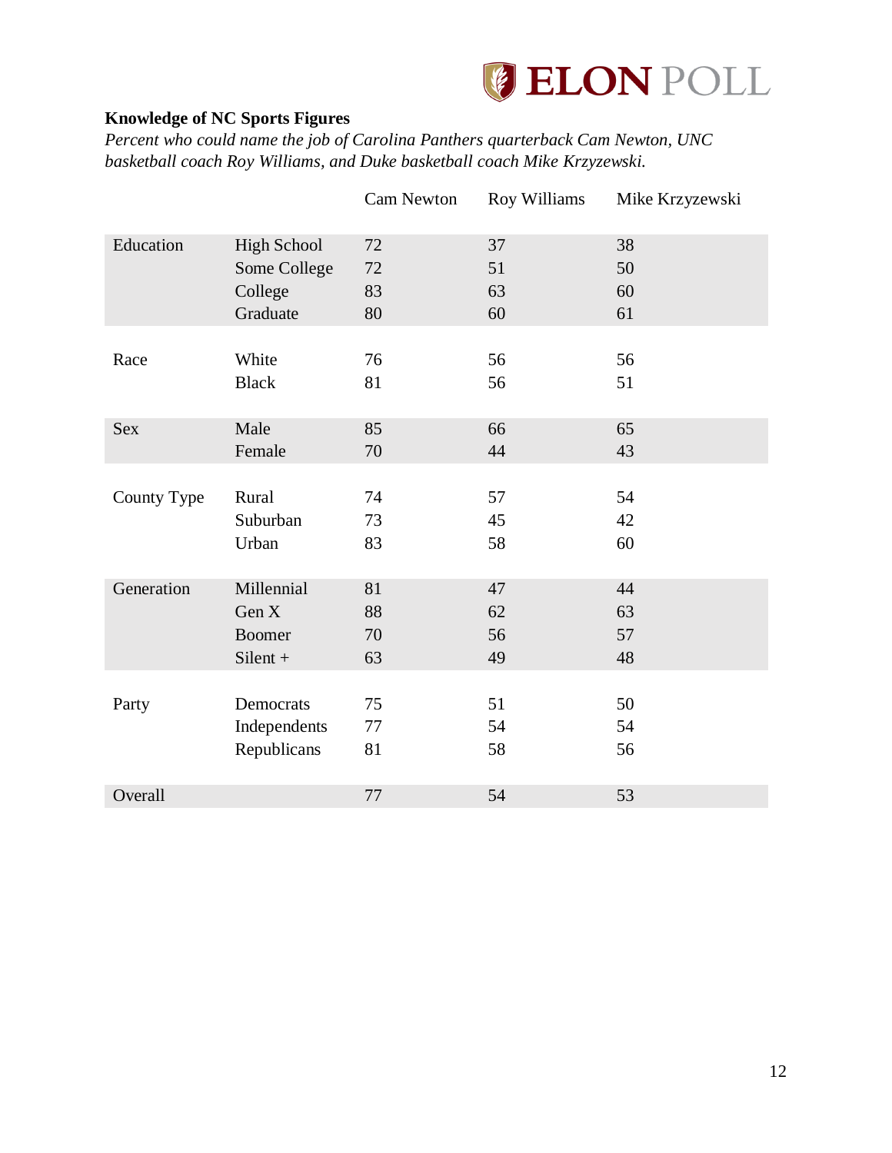

## <span id="page-12-0"></span>**Knowledge of NC Sports Figures**

*Percent who could name the job of Carolina Panthers quarterback Cam Newton, UNC basketball coach Roy Williams, and Duke basketball coach Mike Krzyzewski.*

|             |                    | Cam Newton | Roy Williams | Mike Krzyzewski |
|-------------|--------------------|------------|--------------|-----------------|
| Education   | <b>High School</b> | 72         | 37           | 38              |
|             | Some College       | $72\,$     | 51           | 50              |
|             | College            | 83         | 63           | 60              |
|             | Graduate           | 80         | 60           | 61              |
|             |                    |            |              |                 |
| Race        | White              | 76         | 56           | 56              |
|             | <b>Black</b>       | 81         | 56           | 51              |
|             |                    |            |              |                 |
| <b>Sex</b>  | Male               | 85         | 66           | 65              |
|             | Female             | 70         | 44           | 43              |
|             |                    |            |              |                 |
| County Type | Rural              | 74         | 57           | 54              |
|             | Suburban           | 73         | 45           | 42              |
|             | Urban              | 83         | 58           | 60              |
|             |                    |            |              |                 |
| Generation  | Millennial         | 81         | 47           | 44              |
|             | Gen X              | 88         | 62           | 63              |
|             | <b>Boomer</b>      | 70         | 56           | 57              |
|             | $Silent +$         | 63         | 49           | 48              |
|             |                    |            |              |                 |
| Party       | Democrats          | 75         | 51           | 50              |
|             | Independents       | 77         | 54           | 54              |
|             | Republicans        | 81         | 58           | 56              |
|             |                    |            |              |                 |
| Overall     |                    | 77         | 54           | 53              |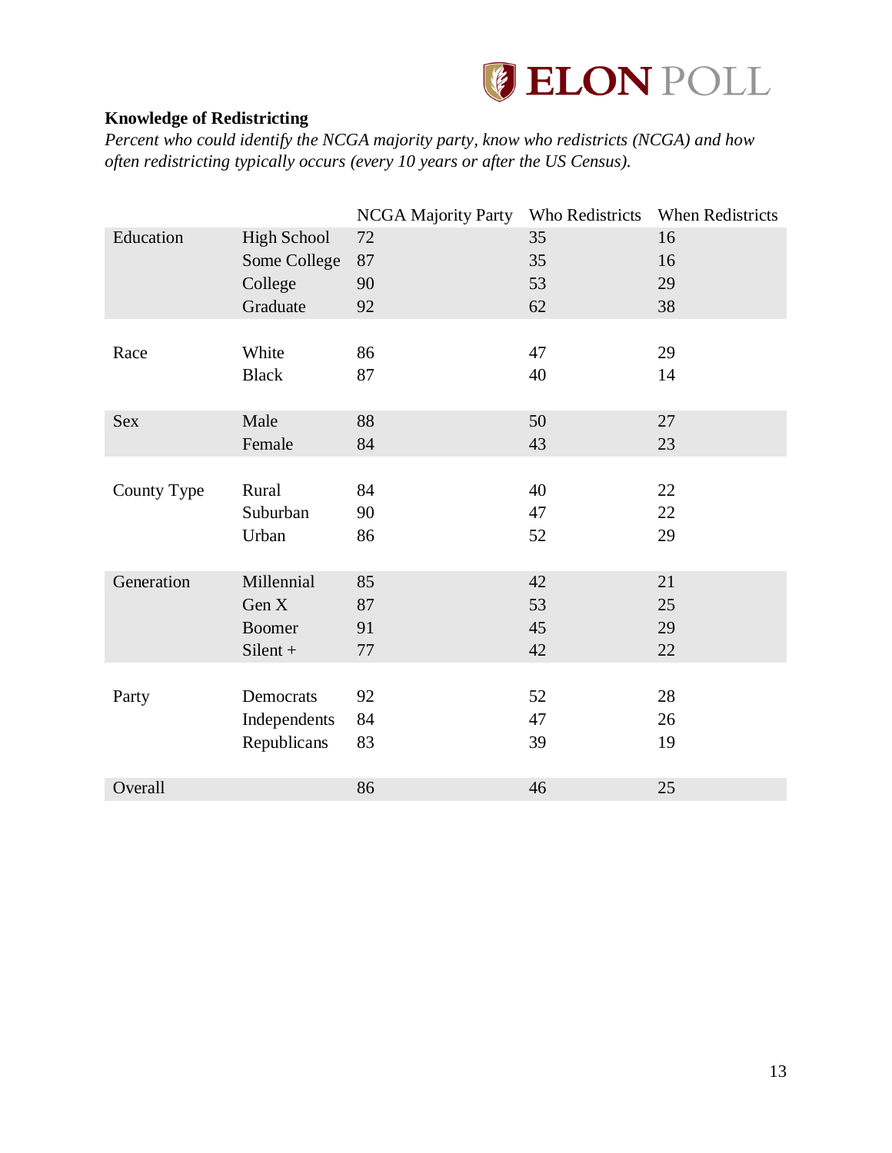

## <span id="page-13-0"></span>**Knowledge of Redistricting**

*Percent who could identify the NCGA majority party, know who redistricts (NCGA) and how often redistricting typically occurs (every 10 years or after the US Census).*

|             |                    | <b>NCGA Majority Party</b> | Who Redistricts | When Redistricts |
|-------------|--------------------|----------------------------|-----------------|------------------|
| Education   | <b>High School</b> | 72                         | 35              | 16               |
|             | Some College       | 87                         | 35              | 16               |
|             | College            | 90                         | 53              | 29               |
|             | Graduate           | 92                         | 62              | 38               |
|             |                    |                            |                 |                  |
| Race        | White              | 86                         | 47              | 29               |
|             | <b>Black</b>       | 87                         | 40              | 14               |
|             |                    |                            |                 |                  |
| Sex         | Male               | 88                         | 50              | 27               |
|             | Female             | 84                         | 43              | 23               |
|             |                    |                            |                 |                  |
| County Type | Rural              | 84                         | 40              | 22               |
|             | Suburban           | 90                         | 47              | 22               |
|             | Urban              | 86                         | 52              | 29               |
|             |                    |                            |                 |                  |
| Generation  | Millennial         | 85                         | 42              | 21               |
|             | Gen X              | 87                         | 53              | 25               |
|             | <b>Boomer</b>      | 91                         | 45              | 29               |
|             | $Silent +$         | 77                         | 42              | 22               |
|             |                    |                            |                 |                  |
| Party       | Democrats          | 92                         | 52              | 28               |
|             | Independents       | 84                         | 47              | 26               |
|             | Republicans        | 83                         | 39              | 19               |
|             |                    |                            |                 |                  |
| Overall     |                    | 86                         | 46              | 25               |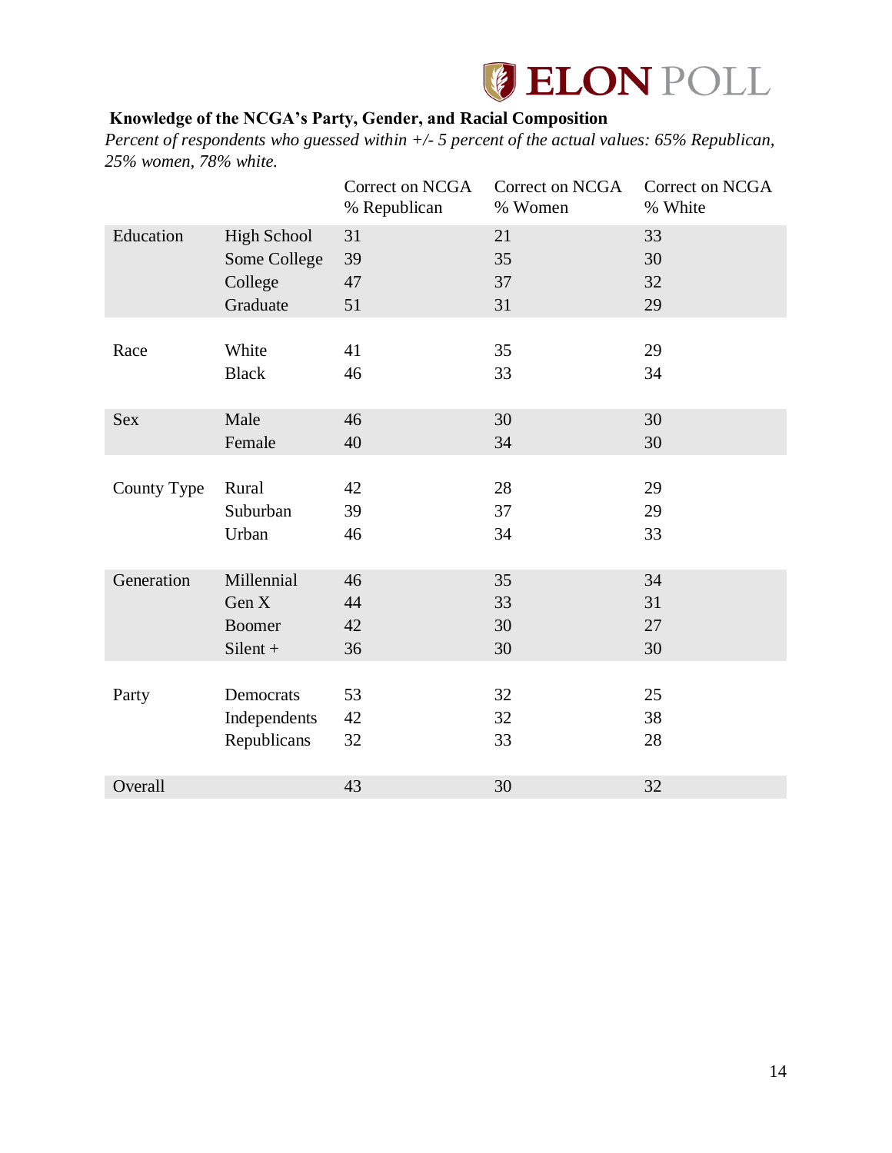

## <span id="page-14-0"></span>**Knowledge of the NCGA's Party, Gender, and Racial Composition**

*Percent of respondents who guessed within +/- 5 percent of the actual values: 65% Republican, 25% women, 78% white.*

|             |                    | Correct on NCGA<br>% Republican | Correct on NCGA<br>% Women | Correct on NCGA<br>% White |
|-------------|--------------------|---------------------------------|----------------------------|----------------------------|
| Education   | <b>High School</b> | 31                              | 21                         | 33                         |
|             | Some College       | 39                              | 35                         | 30                         |
|             | College            | 47                              | 37                         | 32                         |
|             | Graduate           | 51                              | 31                         | 29                         |
|             |                    |                                 |                            |                            |
| Race        | White              | 41                              | 35                         | 29                         |
|             | <b>Black</b>       | 46                              | 33                         | 34                         |
|             |                    |                                 |                            |                            |
| <b>Sex</b>  | Male               | 46                              | 30                         | 30                         |
|             | Female             | 40                              | 34                         | 30                         |
|             |                    |                                 |                            |                            |
| County Type | Rural              | 42                              | 28                         | 29                         |
|             | Suburban           | 39                              | 37                         | 29                         |
|             | Urban              | 46                              | 34                         | 33                         |
|             |                    |                                 |                            |                            |
| Generation  | Millennial         | 46                              | 35                         | 34                         |
|             | Gen X              | 44                              | 33                         | 31                         |
|             | <b>Boomer</b>      | 42                              | 30                         | 27                         |
|             | $Silent +$         | 36                              | 30                         | 30                         |
|             |                    |                                 |                            |                            |
| Party       | Democrats          | 53                              | 32                         | 25                         |
|             | Independents       | 42                              | 32                         | 38                         |
|             | Republicans        | 32                              | 33                         | 28                         |
|             |                    |                                 |                            |                            |
| Overall     |                    | 43                              | 30                         | 32                         |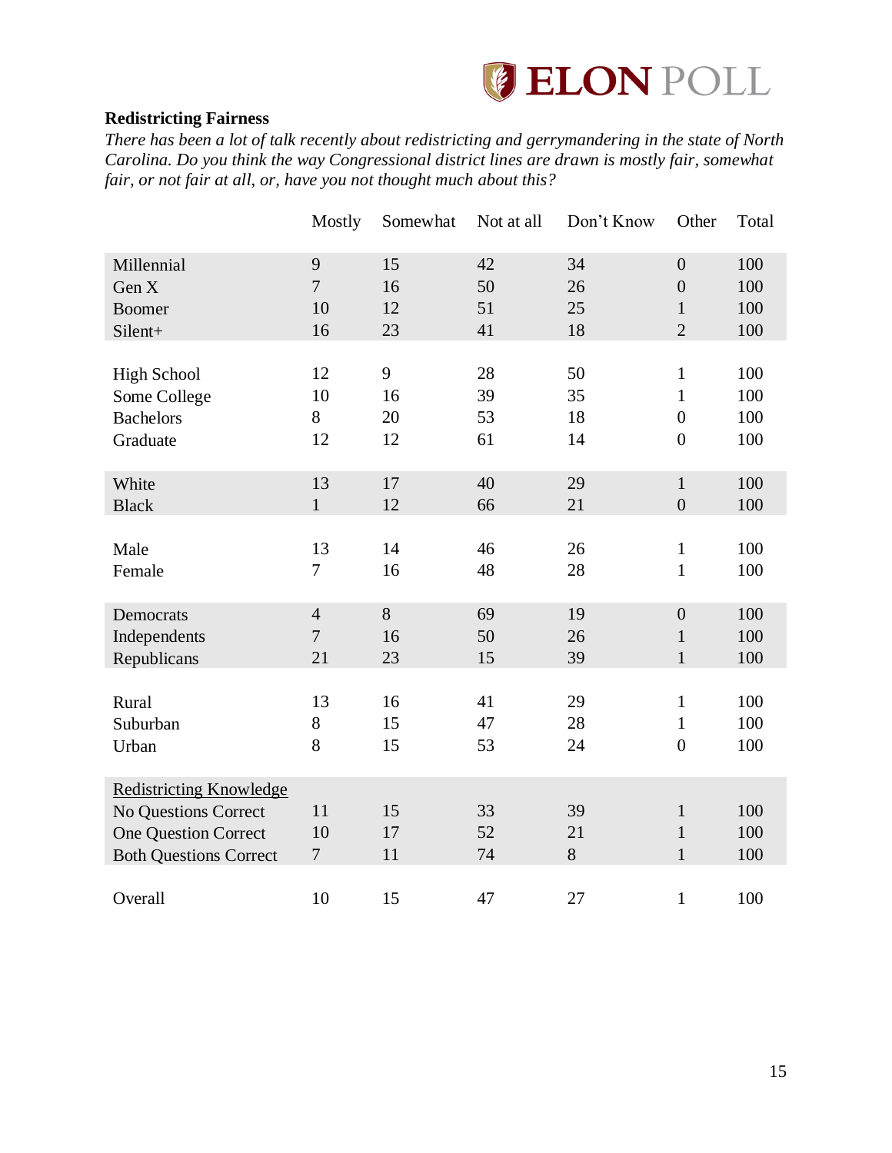

#### <span id="page-15-0"></span>**Redistricting Fairness**

*There has been a lot of talk recently about redistricting and gerrymandering in the state of North Carolina. Do you think the way Congressional district lines are drawn is mostly fair, somewhat fair, or not fair at all, or, have you not thought much about this?*

|                                | Mostly         | Somewhat | Not at all | Don't Know | Other            | Total |
|--------------------------------|----------------|----------|------------|------------|------------------|-------|
| Millennial                     | 9              | 15       | 42         | 34         | $\overline{0}$   | 100   |
| Gen X                          | $\overline{7}$ | 16       | 50         | 26         | $\boldsymbol{0}$ | 100   |
| <b>Boomer</b>                  | 10             | 12       | 51         | 25         | $\mathbf{1}$     | 100   |
| Silent+                        | 16             | 23       | 41         | 18         | $\overline{2}$   | 100   |
|                                |                |          |            |            |                  |       |
| <b>High School</b>             | 12             | 9        | 28         | 50         | 1                | 100   |
| Some College                   | 10             | 16       | 39         | 35         | $\mathbf{1}$     | 100   |
| <b>Bachelors</b>               | 8              | 20       | 53         | 18         | $\overline{0}$   | 100   |
| Graduate                       | 12             | 12       | 61         | 14         | $\boldsymbol{0}$ | 100   |
|                                |                |          |            |            |                  |       |
| White                          | 13             | 17       | 40         | 29         | $\mathbf{1}$     | 100   |
| <b>Black</b>                   | $\mathbf{1}$   | 12       | 66         | 21         | $\boldsymbol{0}$ | 100   |
|                                |                |          |            |            |                  |       |
| Male                           | 13             | 14       | 46         | 26         | $\mathbf{1}$     | 100   |
| Female                         | $\overline{7}$ | 16       | 48         | 28         | $\mathbf{1}$     | 100   |
|                                |                |          |            |            |                  |       |
| Democrats                      | $\overline{4}$ | 8        | 69         | 19         | $\boldsymbol{0}$ | 100   |
| Independents                   | $\overline{7}$ | 16       | 50         | 26         | $\mathbf{1}$     | 100   |
| Republicans                    | 21             | 23       | 15         | 39         | $\mathbf{1}$     | 100   |
|                                |                |          |            |            |                  |       |
| Rural                          | 13             | 16       | 41         | 29         | $\mathbf{1}$     | 100   |
| Suburban                       | $8\,$          | 15       | 47         | 28         | $\mathbf{1}$     | 100   |
| Urban                          | 8              | 15       | 53         | 24         | $\boldsymbol{0}$ | 100   |
|                                |                |          |            |            |                  |       |
| <b>Redistricting Knowledge</b> |                |          |            |            |                  |       |
| No Questions Correct           | 11             | 15       | 33         | 39         | $\mathbf{1}$     | 100   |
| <b>One Question Correct</b>    | 10             | 17       | 52         | 21         | $\mathbf{1}$     | 100   |
| <b>Both Questions Correct</b>  | $\overline{7}$ | 11       | 74         | 8          | $\mathbf{1}$     | 100   |
|                                |                |          |            |            |                  |       |
| Overall                        | 10             | 15       | 47         | 27         | $\mathbf{1}$     | 100   |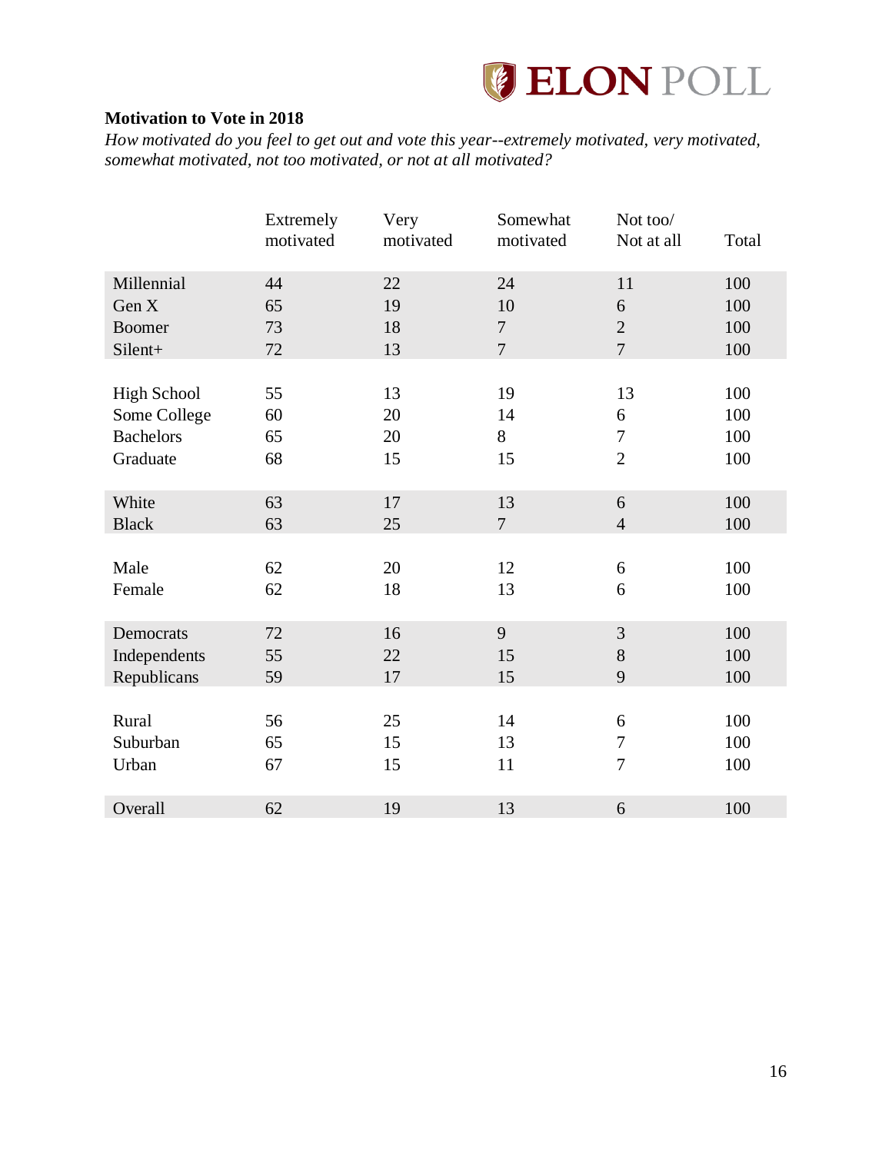

## <span id="page-16-0"></span>**Motivation to Vote in 2018**

*How motivated do you feel to get out and vote this year--extremely motivated, very motivated, somewhat motivated, not too motivated, or not at all motivated?*

|                    | Extremely<br>motivated | Very<br>motivated | Somewhat<br>motivated | Not too/<br>Not at all | Total |
|--------------------|------------------------|-------------------|-----------------------|------------------------|-------|
| Millennial         | 44                     | 22                | 24                    | 11                     | 100   |
| Gen X              | 65                     | 19                | 10                    | 6                      | 100   |
| <b>Boomer</b>      | 73                     | 18                | $\overline{7}$        | $\overline{2}$         | 100   |
| Silent+            | 72                     | 13                | $\overline{7}$        | $\overline{7}$         | 100   |
|                    |                        |                   |                       |                        |       |
| <b>High School</b> | 55                     | 13                | 19                    | 13                     | 100   |
| Some College       | 60                     | 20                | 14                    | 6                      | 100   |
| <b>Bachelors</b>   | 65                     | 20                | 8                     | $\boldsymbol{7}$       | 100   |
| Graduate           | 68                     | 15                | 15                    | $\overline{2}$         | 100   |
|                    |                        |                   |                       |                        |       |
| White              | 63                     | 17                | 13                    | 6                      | 100   |
| <b>Black</b>       | 63                     | 25                | $\overline{7}$        | $\overline{4}$         | 100   |
|                    |                        |                   |                       |                        |       |
| Male               | 62                     | 20                | 12                    | 6                      | 100   |
| Female             | 62                     | 18                | 13                    | 6                      | 100   |
|                    |                        |                   |                       |                        |       |
| Democrats          | 72                     | 16                | 9                     | 3                      | 100   |
| Independents       | 55                     | 22                | 15                    | $8\,$                  | 100   |
| Republicans        | 59                     | 17                | 15                    | 9                      | 100   |
|                    |                        |                   |                       |                        |       |
| Rural              | 56                     | 25                | 14                    | 6                      | 100   |
| Suburban           | 65                     | 15                | 13                    | $\boldsymbol{7}$       | 100   |
| Urban              | 67                     | 15                | 11                    | $\overline{7}$         | 100   |
|                    |                        |                   |                       |                        |       |
| Overall            | 62                     | 19                | 13                    | 6                      | 100   |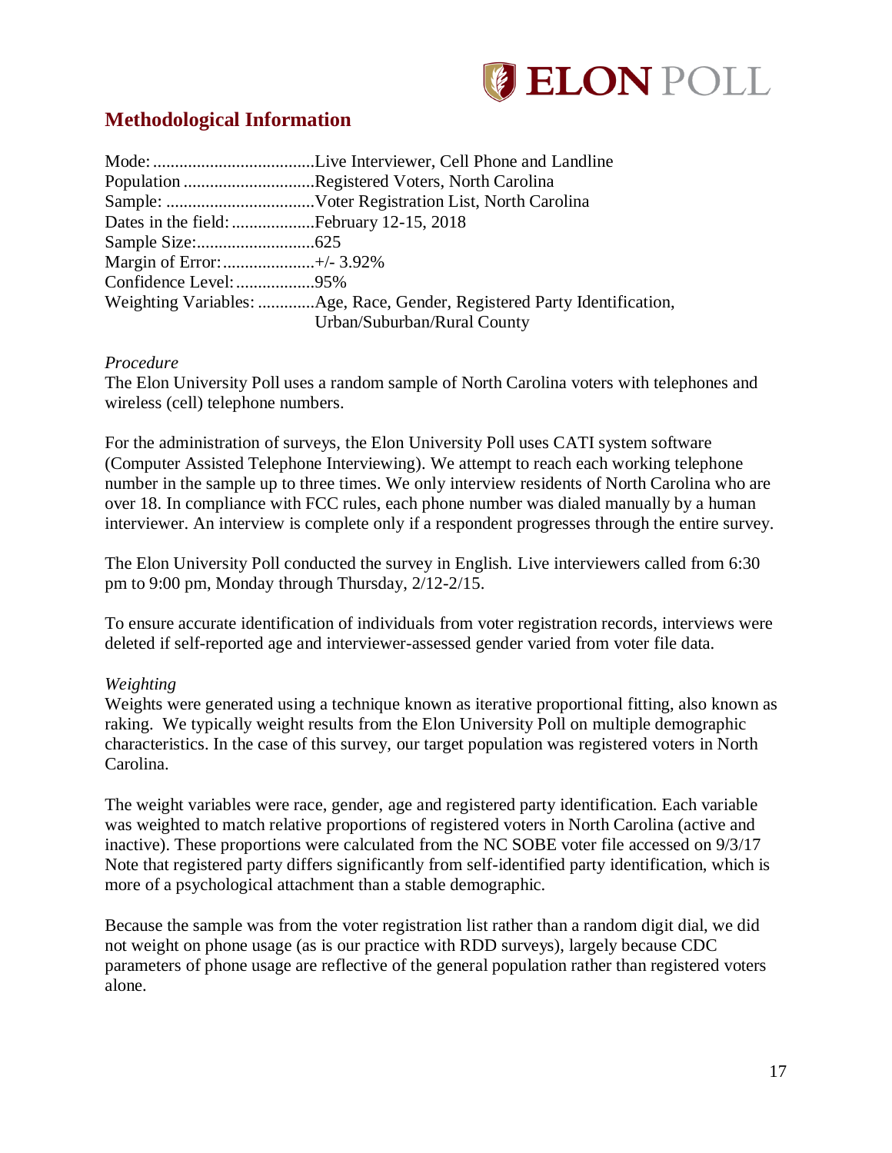

## <span id="page-17-0"></span>**Methodological Information**

|                           | Population Registered Voters, North Carolina                             |
|---------------------------|--------------------------------------------------------------------------|
|                           |                                                                          |
|                           |                                                                          |
|                           |                                                                          |
| Margin of Error:+/- 3.92% |                                                                          |
|                           |                                                                          |
|                           | Weighting Variables: Age, Race, Gender, Registered Party Identification, |
|                           | Urban/Suburban/Rural County                                              |

#### *Procedure*

The Elon University Poll uses a random sample of North Carolina voters with telephones and wireless (cell) telephone numbers.

For the administration of surveys, the Elon University Poll uses CATI system software (Computer Assisted Telephone Interviewing). We attempt to reach each working telephone number in the sample up to three times. We only interview residents of North Carolina who are over 18. In compliance with FCC rules, each phone number was dialed manually by a human interviewer. An interview is complete only if a respondent progresses through the entire survey.

The Elon University Poll conducted the survey in English. Live interviewers called from 6:30 pm to 9:00 pm, Monday through Thursday, 2/12-2/15.

To ensure accurate identification of individuals from voter registration records, interviews were deleted if self-reported age and interviewer-assessed gender varied from voter file data.

#### *Weighting*

Weights were generated using a technique known as iterative proportional fitting, also known as raking. We typically weight results from the Elon University Poll on multiple demographic characteristics. In the case of this survey, our target population was registered voters in North Carolina.

The weight variables were race, gender, age and registered party identification. Each variable was weighted to match relative proportions of registered voters in North Carolina (active and inactive). These proportions were calculated from the NC SOBE voter file accessed on 9/3/17 Note that registered party differs significantly from self-identified party identification, which is more of a psychological attachment than a stable demographic.

Because the sample was from the voter registration list rather than a random digit dial, we did not weight on phone usage (as is our practice with RDD surveys), largely because CDC parameters of phone usage are reflective of the general population rather than registered voters alone.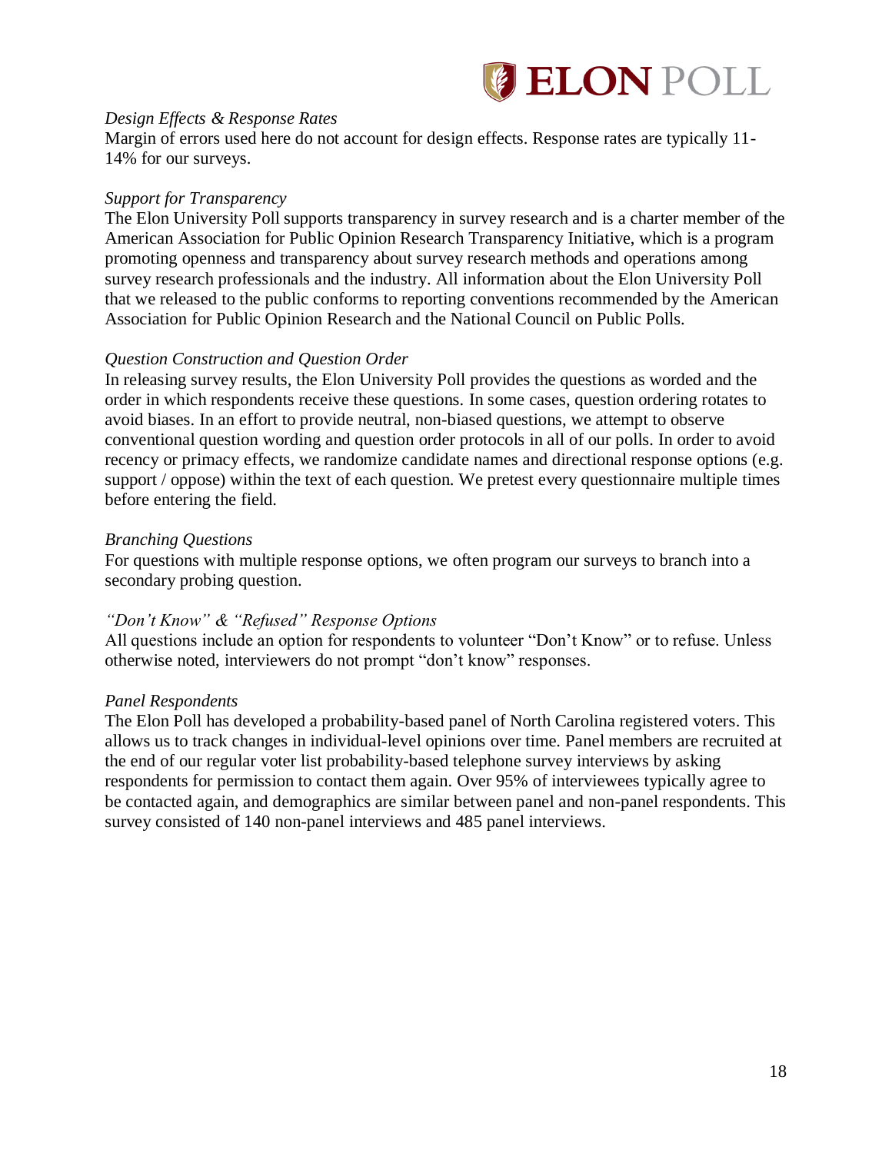

#### *Design Effects & Response Rates*

Margin of errors used here do not account for design effects. Response rates are typically 11- 14% for our surveys.

#### *Support for Transparency*

The Elon University Poll supports transparency in survey research and is a charter member of the American Association for Public Opinion Research Transparency Initiative, which is a program promoting openness and transparency about survey research methods and operations among survey research professionals and the industry. All information about the Elon University Poll that we released to the public conforms to reporting conventions recommended by the American Association for Public Opinion Research and the National Council on Public Polls.

### *Question Construction and Question Order*

In releasing survey results, the Elon University Poll provides the questions as worded and the order in which respondents receive these questions. In some cases, question ordering rotates to avoid biases. In an effort to provide neutral, non-biased questions, we attempt to observe conventional question wording and question order protocols in all of our polls. In order to avoid recency or primacy effects, we randomize candidate names and directional response options (e.g. support / oppose) within the text of each question. We pretest every questionnaire multiple times before entering the field.

#### *Branching Questions*

For questions with multiple response options, we often program our surveys to branch into a secondary probing question.

### *"Don't Know" & "Refused" Response Options*

All questions include an option for respondents to volunteer "Don't Know" or to refuse. Unless otherwise noted, interviewers do not prompt "don't know" responses.

### *Panel Respondents*

The Elon Poll has developed a probability-based panel of North Carolina registered voters. This allows us to track changes in individual-level opinions over time. Panel members are recruited at the end of our regular voter list probability-based telephone survey interviews by asking respondents for permission to contact them again. Over 95% of interviewees typically agree to be contacted again, and demographics are similar between panel and non-panel respondents. This survey consisted of 140 non-panel interviews and 485 panel interviews.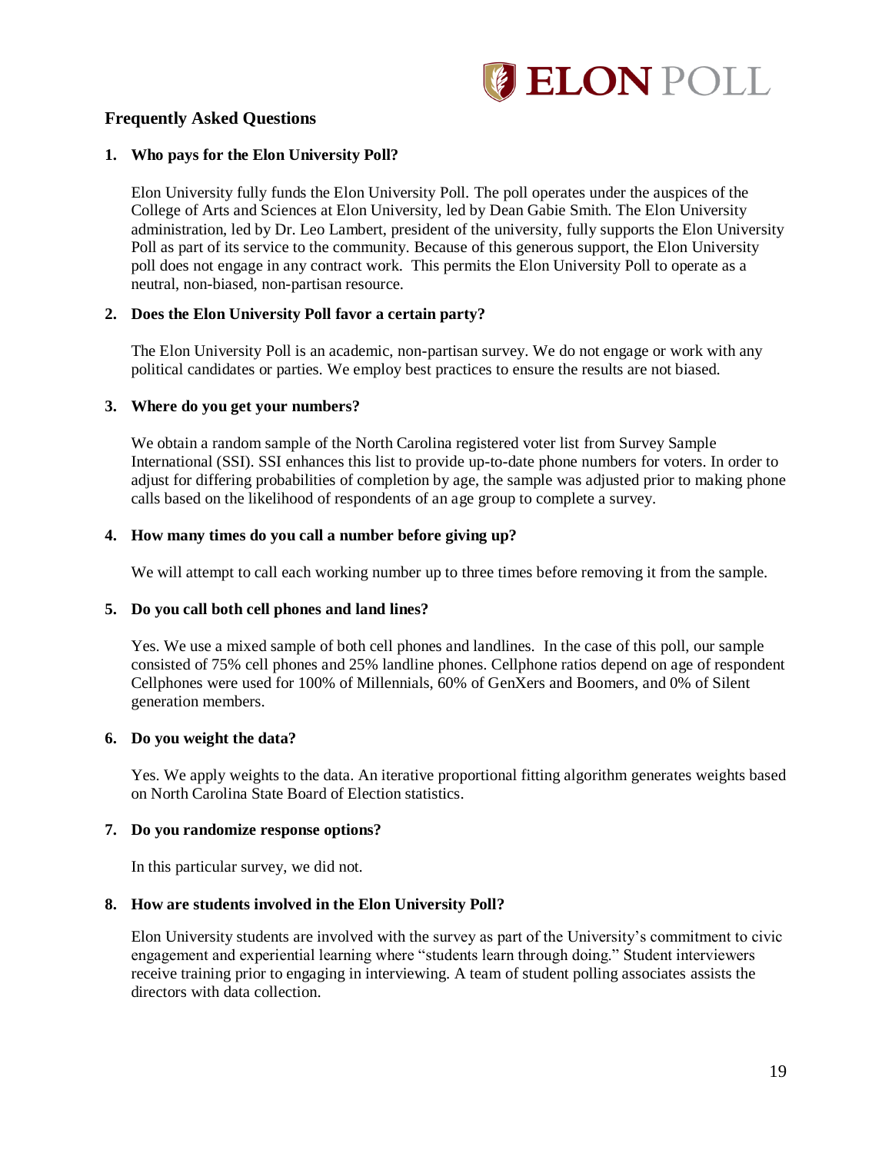

#### **Frequently Asked Questions**

#### **1. Who pays for the Elon University Poll?**

Elon University fully funds the Elon University Poll. The poll operates under the auspices of the College of Arts and Sciences at Elon University, led by Dean Gabie Smith. The Elon University administration, led by Dr. Leo Lambert, president of the university, fully supports the Elon University Poll as part of its service to the community. Because of this generous support, the Elon University poll does not engage in any contract work. This permits the Elon University Poll to operate as a neutral, non-biased, non-partisan resource.

#### **2. Does the Elon University Poll favor a certain party?**

The Elon University Poll is an academic, non-partisan survey. We do not engage or work with any political candidates or parties. We employ best practices to ensure the results are not biased.

#### **3. Where do you get your numbers?**

We obtain a random sample of the North Carolina registered voter list from Survey Sample International (SSI). SSI enhances this list to provide up-to-date phone numbers for voters. In order to adjust for differing probabilities of completion by age, the sample was adjusted prior to making phone calls based on the likelihood of respondents of an age group to complete a survey.

#### **4. How many times do you call a number before giving up?**

We will attempt to call each working number up to three times before removing it from the sample.

#### **5. Do you call both cell phones and land lines?**

Yes. We use a mixed sample of both cell phones and landlines. In the case of this poll, our sample consisted of 75% cell phones and 25% landline phones. Cellphone ratios depend on age of respondent Cellphones were used for 100% of Millennials, 60% of GenXers and Boomers, and 0% of Silent generation members.

#### **6. Do you weight the data?**

Yes. We apply weights to the data. An iterative proportional fitting algorithm generates weights based on North Carolina State Board of Election statistics.

#### **7. Do you randomize response options?**

In this particular survey, we did not.

#### **8. How are students involved in the Elon University Poll?**

Elon University students are involved with the survey as part of the University's commitment to civic engagement and experiential learning where "students learn through doing." Student interviewers receive training prior to engaging in interviewing. A team of student polling associates assists the directors with data collection.